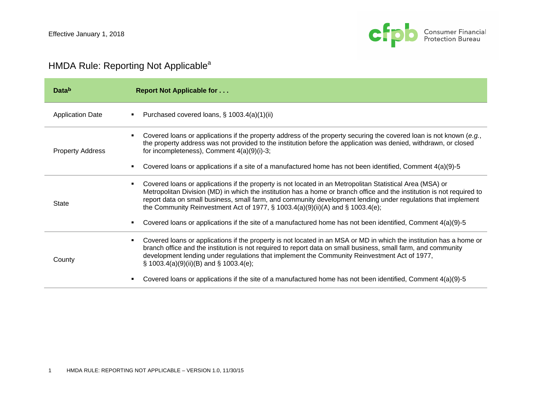

## HMDA Rule: Reporting Not Applicable<sup>a</sup>

| Datab                   | <b>Report Not Applicable for </b>                                                                                                                                                                                                                                                                                                                                                                                                                                                                                                                                 |
|-------------------------|-------------------------------------------------------------------------------------------------------------------------------------------------------------------------------------------------------------------------------------------------------------------------------------------------------------------------------------------------------------------------------------------------------------------------------------------------------------------------------------------------------------------------------------------------------------------|
| <b>Application Date</b> | Purchased covered loans, § 1003.4(a)(1)(ii)<br>٠                                                                                                                                                                                                                                                                                                                                                                                                                                                                                                                  |
| <b>Property Address</b> | Covered loans or applications if the property address of the property securing the covered loan is not known (e.g.,<br>٠<br>the property address was not provided to the institution before the application was denied, withdrawn, or closed<br>for incompleteness), Comment $4(a)(9)(i)-3$ ;<br>Covered loans or applications if a site of a manufactured home has not been identified, Comment 4(a)(9)-5<br>٠                                                                                                                                                   |
| State                   | Covered loans or applications if the property is not located in an Metropolitan Statistical Area (MSA) or<br>٠<br>Metropolitan Division (MD) in which the institution has a home or branch office and the institution is not required to<br>report data on small business, small farm, and community development lending under regulations that implement<br>the Community Reinvestment Act of 1977, § 1003.4(a)(9)(ii)(A) and § 1003.4(e);<br>Covered loans or applications if the site of a manufactured home has not been identified, Comment $4(a)(9)-5$<br>п |
| County                  | Covered loans or applications if the property is not located in an MSA or MD in which the institution has a home or<br>٠<br>branch office and the institution is not required to report data on small business, small farm, and community<br>development lending under regulations that implement the Community Reinvestment Act of 1977,<br>$\S$ 1003.4(a)(9)(ii)(B) and $\S$ 1003.4(e);<br>Covered loans or applications if the site of a manufactured home has not been identified, Comment 4(a)(9)-5<br>п                                                     |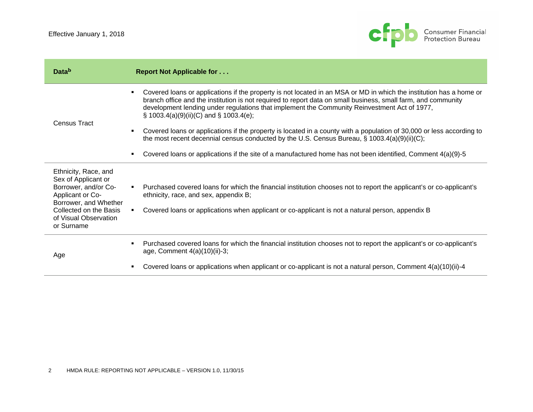

| Datab                                                                                                                                                                             | <b>Report Not Applicable for </b>                                                                                                                                                                                                                                                                                                                                                                                                                                                                             |
|-----------------------------------------------------------------------------------------------------------------------------------------------------------------------------------|---------------------------------------------------------------------------------------------------------------------------------------------------------------------------------------------------------------------------------------------------------------------------------------------------------------------------------------------------------------------------------------------------------------------------------------------------------------------------------------------------------------|
| <b>Census Tract</b>                                                                                                                                                               | Covered loans or applications if the property is not located in an MSA or MD in which the institution has a home or<br>branch office and the institution is not required to report data on small business, small farm, and community<br>development lending under regulations that implement the Community Reinvestment Act of 1977,<br>$\S$ 1003.4(a)(9)(ii)(C) and $\S$ 1003.4(e);<br>Covered loans or applications if the property is located in a county with a population of 30,000 or less according to |
|                                                                                                                                                                                   | the most recent decennial census conducted by the U.S. Census Bureau, $\S$ 1003.4(a)(9)(ii)(C);<br>Covered loans or applications if the site of a manufactured home has not been identified, Comment 4(a)(9)-5                                                                                                                                                                                                                                                                                                |
| Ethnicity, Race, and<br>Sex of Applicant or<br>Borrower, and/or Co-<br>Applicant or Co-<br>Borrower, and Whether<br>Collected on the Basis<br>of Visual Observation<br>or Surname | Purchased covered loans for which the financial institution chooses not to report the applicant's or co-applicant's<br>$\blacksquare$ .<br>ethnicity, race, and sex, appendix B;<br>Covered loans or applications when applicant or co-applicant is not a natural person, appendix B                                                                                                                                                                                                                          |
| Age                                                                                                                                                                               | Purchased covered loans for which the financial institution chooses not to report the applicant's or co-applicant's<br>age, Comment $4(a)(10)(ii)-3;$<br>Covered loans or applications when applicant or co-applicant is not a natural person, Comment 4(a)(10)(ii)-4                                                                                                                                                                                                                                         |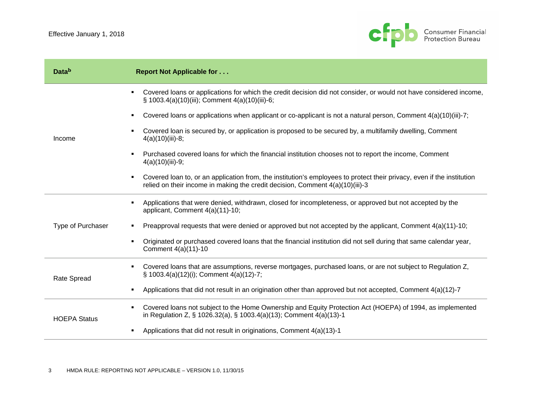

| Datab               | <b>Report Not Applicable for </b>                                                                                                                                                                            |
|---------------------|--------------------------------------------------------------------------------------------------------------------------------------------------------------------------------------------------------------|
|                     | Covered loans or applications for which the credit decision did not consider, or would not have considered income,<br>٠<br>§ 1003.4(a)(10)(iii); Comment 4(a)(10)(iii)-6;                                    |
|                     | Covered loans or applications when applicant or co-applicant is not a natural person, Comment 4(a)(10)(iii)-7;<br>٠                                                                                          |
| Income              | Covered loan is secured by, or application is proposed to be secured by, a multifamily dwelling, Comment<br>$4(a)(10)(iii)-8;$                                                                               |
|                     | Purchased covered loans for which the financial institution chooses not to report the income, Comment<br>$\blacksquare$<br>$4(a)(10)(iii)-9;$                                                                |
|                     | Covered loan to, or an application from, the institution's employees to protect their privacy, even if the institution<br>٠<br>relied on their income in making the credit decision, Comment 4(a)(10)(iii)-3 |
|                     | Applications that were denied, withdrawn, closed for incompleteness, or approved but not accepted by the<br>$\blacksquare$<br>applicant, Comment 4(a)(11)-10;                                                |
| Type of Purchaser   | Preapproval requests that were denied or approved but not accepted by the applicant, Comment $4(a)(11)-10$ ;                                                                                                 |
|                     | Originated or purchased covered loans that the financial institution did not sell during that same calendar year,<br>$\blacksquare$<br>Comment 4(a)(11)-10                                                   |
| <b>Rate Spread</b>  | Covered loans that are assumptions, reverse mortgages, purchased loans, or are not subject to Regulation Z,<br>٠<br>§ 1003.4(a)(12)(i); Comment 4(a)(12)-7;                                                  |
|                     | Applications that did not result in an origination other than approved but not accepted, Comment $4(a)(12)-7$<br>$\blacksquare$                                                                              |
| <b>HOEPA Status</b> | Covered loans not subject to the Home Ownership and Equity Protection Act (HOEPA) of 1994, as implemented<br>٠<br>in Regulation Z, § 1026.32(a), § 1003.4(a)(13); Comment 4(a)(13)-1                         |
|                     | Applications that did not result in originations, Comment 4(a)(13)-1<br>٠                                                                                                                                    |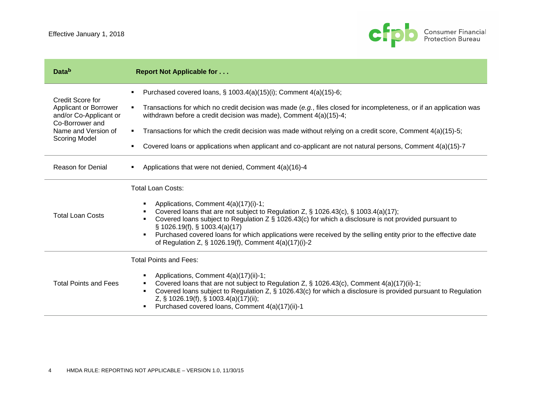

| <b>Data</b> <sup>b</sup>                                                                                                              | <b>Report Not Applicable for </b>                                                                                                                                                                                                                                                                                                                                                                                                                                                        |
|---------------------------------------------------------------------------------------------------------------------------------------|------------------------------------------------------------------------------------------------------------------------------------------------------------------------------------------------------------------------------------------------------------------------------------------------------------------------------------------------------------------------------------------------------------------------------------------------------------------------------------------|
| Credit Score for<br>Applicant or Borrower<br>and/or Co-Applicant or<br>Co-Borrower and<br>Name and Version of<br><b>Scoring Model</b> | Purchased covered loans, § 1003.4(a)(15)(i); Comment 4(a)(15)-6;<br>٠                                                                                                                                                                                                                                                                                                                                                                                                                    |
|                                                                                                                                       | Transactions for which no credit decision was made (e.g., files closed for incompleteness, or if an application was<br>٠<br>withdrawn before a credit decision was made), Comment 4(a)(15)-4;                                                                                                                                                                                                                                                                                            |
|                                                                                                                                       | Transactions for which the credit decision was made without relying on a credit score, Comment 4(a)(15)-5;<br>٠                                                                                                                                                                                                                                                                                                                                                                          |
|                                                                                                                                       | Covered loans or applications when applicant and co-applicant are not natural persons, Comment 4(a)(15)-7<br>٠                                                                                                                                                                                                                                                                                                                                                                           |
| <b>Reason for Denial</b>                                                                                                              | Applications that were not denied, Comment 4(a)(16)-4<br>٠                                                                                                                                                                                                                                                                                                                                                                                                                               |
|                                                                                                                                       | <b>Total Loan Costs:</b>                                                                                                                                                                                                                                                                                                                                                                                                                                                                 |
| <b>Total Loan Costs</b>                                                                                                               | Applications, Comment 4(a)(17)(i)-1;<br>٠<br>Covered loans that are not subject to Regulation Z, § 1026.43(c), § 1003.4(a)(17);<br>٠<br>Covered loans subject to Regulation Z $\S$ 1026.43(c) for which a disclosure is not provided pursuant to<br>$\S$ 1026.19(f), $\S$ 1003.4(a)(17)<br>Purchased covered loans for which applications were received by the selling entity prior to the effective date<br>$\blacksquare$<br>of Regulation Z, $\S$ 1026.19(f), Comment $4(a)(17)(i)-2$ |
| <b>Total Points and Fees</b>                                                                                                          | <b>Total Points and Fees:</b>                                                                                                                                                                                                                                                                                                                                                                                                                                                            |
|                                                                                                                                       | Applications, Comment 4(a)(17)(ii)-1;<br>Covered loans that are not subject to Regulation Z, § 1026.43(c), Comment 4(a)(17)(ii)-1;<br>٠<br>Covered loans subject to Regulation Z, § 1026.43(c) for which a disclosure is provided pursuant to Regulation<br>٠<br>Z, § 1026.19(f), § 1003.4(a)(17)(ii);<br>Purchased covered loans, Comment 4(a)(17)(ii)-1<br>٠                                                                                                                           |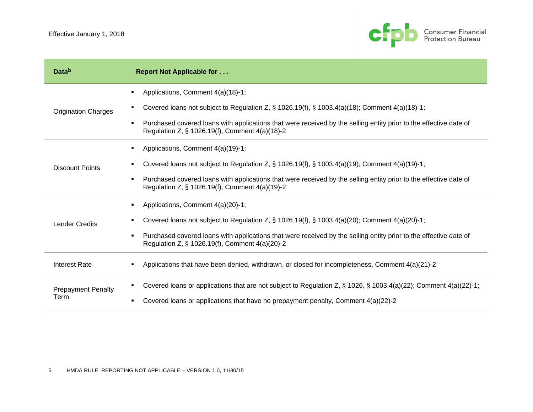

| Datab                             | <b>Report Not Applicable for </b>                                                                                                                                                                                                                                                                                                           |
|-----------------------------------|---------------------------------------------------------------------------------------------------------------------------------------------------------------------------------------------------------------------------------------------------------------------------------------------------------------------------------------------|
| <b>Origination Charges</b>        | Applications, Comment 4(a)(18)-1;<br>Covered loans not subject to Regulation Z, $\S$ 1026.19(f), $\S$ 1003.4(a)(18); Comment 4(a)(18)-1;<br>$\blacksquare$<br>Purchased covered loans with applications that were received by the selling entity prior to the effective date of<br>٠<br>Regulation Z, § 1026.19(f), Comment 4(a)(18)-2      |
| <b>Discount Points</b>            | Applications, Comment 4(a)(19)-1;<br>٠<br>Covered loans not subject to Regulation Z, $\S$ 1026.19(f), $\S$ 1003.4(a)(19); Comment 4(a)(19)-1;<br>٠<br>Purchased covered loans with applications that were received by the selling entity prior to the effective date of<br>$\blacksquare$<br>Regulation Z, § 1026.19(f), Comment 4(a)(19)-2 |
| <b>Lender Credits</b>             | Applications, Comment 4(a)(20)-1;<br>Covered loans not subject to Regulation Z, $\S$ 1026.19(f), $\S$ 1003.4(a)(20); Comment 4(a)(20)-1;<br>Purchased covered loans with applications that were received by the selling entity prior to the effective date of<br>٠<br>Regulation Z, § 1026.19(f), Comment 4(a)(20)-2                        |
| <b>Interest Rate</b>              | Applications that have been denied, withdrawn, or closed for incompleteness, Comment $4(a)(21)-2$<br>$\blacksquare$                                                                                                                                                                                                                         |
| <b>Prepayment Penalty</b><br>Term | Covered loans or applications that are not subject to Regulation Z, § 1026, § 1003.4(a)(22); Comment 4(a)(22)-1;<br>٠<br>Covered loans or applications that have no prepayment penalty, Comment 4(a)(22)-2<br>٠                                                                                                                             |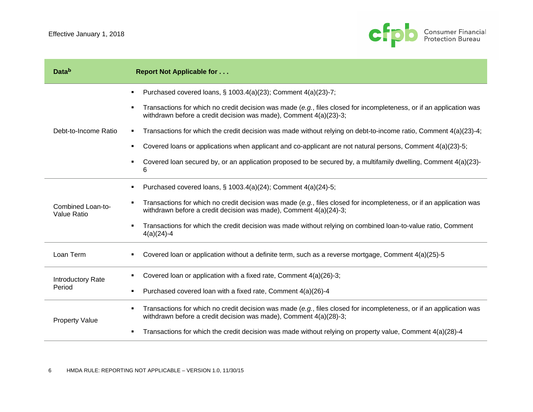

| Datab                            | <b>Report Not Applicable for </b>                                                                                                                                                                          |
|----------------------------------|------------------------------------------------------------------------------------------------------------------------------------------------------------------------------------------------------------|
|                                  | Purchased covered loans, § 1003.4(a)(23); Comment 4(a)(23)-7;<br>٠                                                                                                                                         |
|                                  | Transactions for which no credit decision was made (e.g., files closed for incompleteness, or if an application was<br>$\blacksquare$<br>withdrawn before a credit decision was made), Comment 4(a)(23)-3; |
| Debt-to-Income Ratio             | Transactions for which the credit decision was made without relying on debt-to-income ratio, Comment 4(a)(23)-4;<br>٠                                                                                      |
|                                  | Covered loans or applications when applicant and co-applicant are not natural persons, Comment 4(a)(23)-5;<br>$\blacksquare$                                                                               |
|                                  | Covered loan secured by, or an application proposed to be secured by, a multifamily dwelling, Comment 4(a)(23)-<br>$\blacksquare$<br>6                                                                     |
|                                  | Purchased covered loans, § 1003.4(a)(24); Comment 4(a)(24)-5;<br>٠                                                                                                                                         |
| Combined Loan-to-<br>Value Ratio | Transactions for which no credit decision was made (e.g., files closed for incompleteness, or if an application was<br>٠<br>withdrawn before a credit decision was made), Comment 4(a)(24)-3;              |
|                                  | Transactions for which the credit decision was made without relying on combined loan-to-value ratio, Comment<br>$\blacksquare$<br>$4(a)(24)-4$                                                             |
| Loan Term                        | Covered loan or application without a definite term, such as a reverse mortgage, Comment 4(a)(25)-5<br>٠                                                                                                   |
| Introductory Rate                | Covered loan or application with a fixed rate, Comment 4(a)(26)-3;<br>٠                                                                                                                                    |
| Period                           | Purchased covered loan with a fixed rate, Comment 4(a)(26)-4<br>٠                                                                                                                                          |
| <b>Property Value</b>            | Transactions for which no credit decision was made (e.g., files closed for incompleteness, or if an application was<br>٠<br>withdrawn before a credit decision was made), Comment 4(a)(28)-3;              |
|                                  | Transactions for which the credit decision was made without relying on property value, Comment 4(a)(28)-4<br>٠                                                                                             |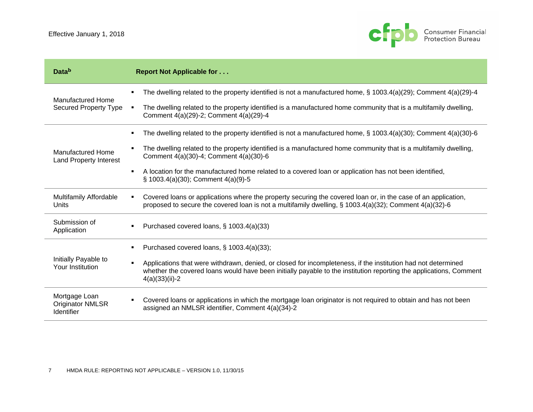

| Datab                                                         | <b>Report Not Applicable for </b>                                                                                                                                                                                                                                                                                                                                                                                                                       |
|---------------------------------------------------------------|---------------------------------------------------------------------------------------------------------------------------------------------------------------------------------------------------------------------------------------------------------------------------------------------------------------------------------------------------------------------------------------------------------------------------------------------------------|
| <b>Manufactured Home</b><br><b>Secured Property Type</b>      | The dwelling related to the property identified is not a manufactured home, $\S$ 1003.4(a)(29); Comment 4(a)(29)-4<br>The dwelling related to the property identified is a manufactured home community that is a multifamily dwelling,<br>٠<br>Comment 4(a)(29)-2; Comment 4(a)(29)-4                                                                                                                                                                   |
| <b>Manufactured Home</b><br><b>Land Property Interest</b>     | The dwelling related to the property identified is not a manufactured home, $\S$ 1003.4(a)(30); Comment 4(a)(30)-6<br>٠<br>The dwelling related to the property identified is a manufactured home community that is a multifamily dwelling,<br>Comment 4(a)(30)-4; Comment 4(a)(30)-6<br>A location for the manufactured home related to a covered loan or application has not been identified,<br>$\blacksquare$<br>§ 1003.4(a)(30); Comment 4(a)(9)-5 |
| <b>Multifamily Affordable</b><br>Units                        | Covered loans or applications where the property securing the covered loan or, in the case of an application,<br>٠<br>proposed to secure the covered loan is not a multifamily dwelling, § 1003.4(a)(32); Comment $4(a)(32)$ -6                                                                                                                                                                                                                         |
| Submission of<br>Application                                  | Purchased covered loans, § 1003.4(a)(33)<br>٠                                                                                                                                                                                                                                                                                                                                                                                                           |
| Initially Payable to<br>Your Institution                      | Purchased covered loans, § 1003.4(a)(33);<br>Applications that were withdrawn, denied, or closed for incompleteness, if the institution had not determined<br>$\blacksquare$<br>whether the covered loans would have been initially payable to the institution reporting the applications, Comment<br>$4(a)(33)(ii)-2$                                                                                                                                  |
| Mortgage Loan<br><b>Originator NMLSR</b><br><b>Identifier</b> | Covered loans or applications in which the mortgage loan originator is not required to obtain and has not been<br>$\blacksquare$<br>assigned an NMLSR identifier, Comment 4(a)(34)-2                                                                                                                                                                                                                                                                    |